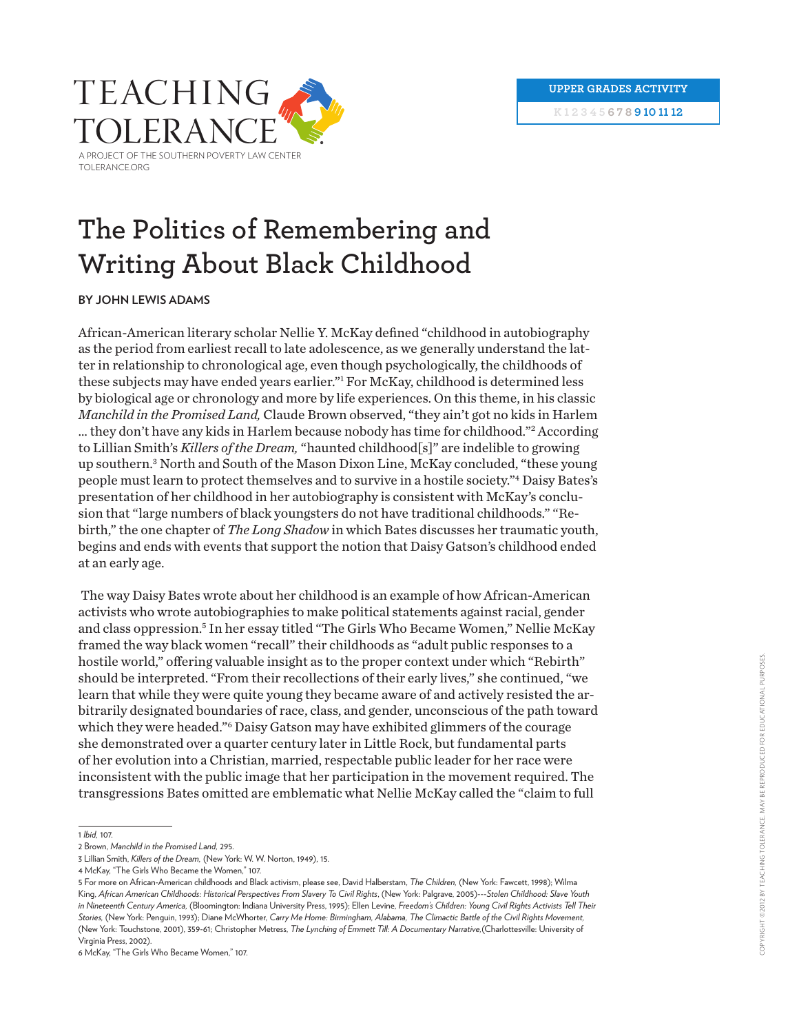**k 1 2 3 4 5 6 7 8 9 10 11 12**



## **The Politics of Remembering and Writing About Black Childhood**

## **By John Lewis Adams**

African-American literary scholar Nellie Y. McKay defined "childhood in autobiography as the period from earliest recall to late adolescence, as we generally understand the latter in relationship to chronological age, even though psychologically, the childhoods of these subjects may have ended years earlier."1 For McKay, childhood is determined less by biological age or chronology and more by life experiences. On this theme, in his classic *Manchild in the Promised Land,* Claude Brown observed, "they ain't got no kids in Harlem … they don't have any kids in Harlem because nobody has time for childhood."2 According to Lillian Smith's *Killers of the Dream,* "haunted childhood[s]" are indelible to growing up southern.3 North and South of the Mason Dixon Line, McKay concluded, "these young people must learn to protect themselves and to survive in a hostile society."4 Daisy Bates's presentation of her childhood in her autobiography is consistent with McKay's conclusion that "large numbers of black youngsters do not have traditional childhoods." "Rebirth," the one chapter of *The Long Shadow* in which Bates discusses her traumatic youth, begins and ends with events that support the notion that Daisy Gatson's childhood ended at an early age.

 The way Daisy Bates wrote about her childhood is an example of how African-American activists who wrote autobiographies to make political statements against racial, gender and class oppression.5 In her essay titled "The Girls Who Became Women," Nellie McKay framed the way black women "recall" their childhoods as "adult public responses to a hostile world," offering valuable insight as to the proper context under which "Rebirth" should be interpreted. "From their recollections of their early lives," she continued, "we learn that while they were quite young they became aware of and actively resisted the arbitrarily designated boundaries of race, class, and gender, unconscious of the path toward which they were headed."6 Daisy Gatson may have exhibited glimmers of the courage she demonstrated over a quarter century later in Little Rock, but fundamental parts of her evolution into a Christian, married, respectable public leader for her race were inconsistent with the public image that her participation in the movement required. The transgressions Bates omitted are emblematic what Nellie McKay called the "claim to full

5 For more on African-American childhoods and Black activism, please see, David Halberstam, *The Children,* (New York: Fawcett, 1998); Wilma King, *African American Childhoods: Historical Perspectives From Slavery To Civil Rights*, (New York: Palgrave, 2005)---*Stolen Childhood: Slave Youth in Nineteenth Century America,* (Bloomington: Indiana University Press, 1995); Ellen Levine, *Freedom's Children: Young Civil Rights Activists Tell Their Stories,* (New York: Penguin, 1993); Diane McWhorter, *Carry Me Home: Birmingham, Alabama, The Climactic Battle of the Civil Rights Movement,* (New York: Touchstone, 2001), 359-61; Christopher Metress, *The Lynching of Emmett Till: A Documentary Narrative,*(Charlottesville: University of Virginia Press, 2002).

6 McKay, "The Girls Who Became Women," 107.

<sup>1</sup> *Ibid,* 107.

<sup>2</sup> Brown, *Manchild in the Promised Land,* 295.

<sup>3</sup> Lillian Smith, *Killers of the Dream,* (New York: W. W. Norton, 1949), 15.

<sup>4</sup> McKay, "The Girls Who Became the Women," 107.